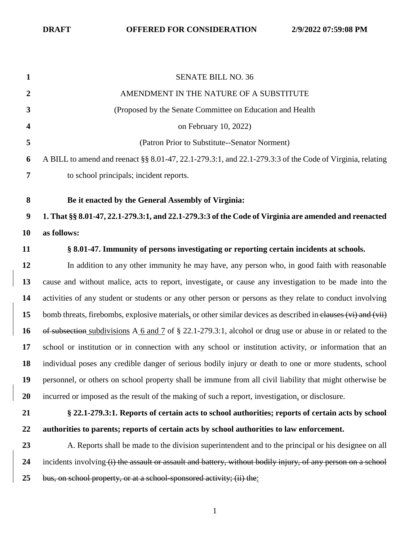| $\mathbf{1}$            | <b>SENATE BILL NO. 36</b>                                                                                      |
|-------------------------|----------------------------------------------------------------------------------------------------------------|
| $\boldsymbol{2}$        | AMENDMENT IN THE NATURE OF A SUBSTITUTE                                                                        |
| 3                       | (Proposed by the Senate Committee on Education and Health                                                      |
| $\overline{\mathbf{4}}$ | on February 10, 2022)                                                                                          |
| 5                       | (Patron Prior to Substitute--Senator Norment)                                                                  |
| 6                       | A BILL to amend and reenact §§ 8.01-47, 22.1-279.3:1, and 22.1-279.3:3 of the Code of Virginia, relating       |
| 7                       | to school principals; incident reports.                                                                        |
| 8                       | Be it enacted by the General Assembly of Virginia:                                                             |
| $\boldsymbol{9}$        | 1. That §§ 8.01-47, 22.1-279.3:1, and 22.1-279.3:3 of the Code of Virginia are amended and reenacted           |
| 10                      | as follows:                                                                                                    |
| 11                      | § 8.01-47. Immunity of persons investigating or reporting certain incidents at schools.                        |
| 12                      | In addition to any other immunity he may have, any person who, in good faith with reasonable                   |
| 13                      | cause and without malice, acts to report, investigate, or cause any investigation to be made into the          |
| 14                      | activities of any student or students or any other person or persons as they relate to conduct involving       |
| 15                      | bomb threats, firebombs, explosive materials, or other similar devices as described in clauses (vi) and (vii)  |
| <b>16</b>               | of subsection subdivisions A $6$ and 7 of $\S$ 22.1-279.3:1, alcohol or drug use or abuse in or related to the |
| 17                      | school or institution or in connection with any school or institution activity, or information that an         |
| <b>18</b>               | individual poses any credible danger of serious bodily injury or death to one or more students, school         |
| 19                      | personnel, or others on school property shall be immune from all civil liability that might otherwise be       |
| 20                      | incurred or imposed as the result of the making of such a report, investigation, or disclosure.                |
| 21                      | § 22.1-279.3:1. Reports of certain acts to school authorities; reports of certain acts by school               |
| 22                      | authorities to parents; reports of certain acts by school authorities to law enforcement.                      |
| 23                      | A. Reports shall be made to the division superintendent and to the principal or his designee on all            |
| 24                      | incidents involving (i) the assault or assault and battery, without bodily injury, of any person on a school   |
| 25                      | bus, on school property, or at a school-sponsored activity; (ii) the:                                          |
|                         |                                                                                                                |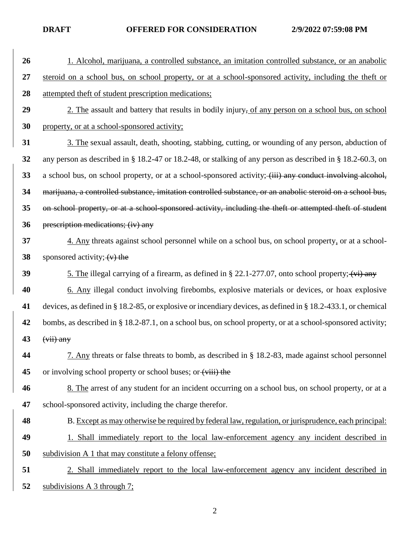| 26 | 1. Alcohol, marijuana, a controlled substance, an imitation controlled substance, or an anabolic              |
|----|---------------------------------------------------------------------------------------------------------------|
| 27 | steroid on a school bus, on school property, or at a school-sponsored activity, including the theft or        |
| 28 | attempted theft of student prescription medications;                                                          |
| 29 | 2. The assault and battery that results in bodily injury, of any person on a school bus, on school            |
| 30 | property, or at a school-sponsored activity;                                                                  |
| 31 | 3. The sexual assault, death, shooting, stabbing, cutting, or wounding of any person, abduction of            |
| 32 | any person as described in § 18.2-47 or 18.2-48, or stalking of any person as described in § 18.2-60.3, on    |
| 33 | a school bus, on school property, or at a school-sponsored activity; (iii) any conduct involving alcohol,     |
| 34 | marijuana, a controlled substance, imitation controlled substance, or an anabolic steroid on a school bus,    |
| 35 | on school property, or at a school sponsored activity, including the theft or attempted theft of student      |
| 36 | prescription medications; (iv) any                                                                            |
| 37 | 4. Any threats against school personnel while on a school bus, on school property, or at a school-            |
| 38 | sponsored activity; $(v)$ the                                                                                 |
| 39 | 5. The illegal carrying of a firearm, as defined in $\S$ 22.1-277.07, onto school property; $(v_i)$ any       |
| 40 | 6. Any illegal conduct involving firebombs, explosive materials or devices, or hoax explosive                 |
| 41 | devices, as defined in § 18.2-85, or explosive or incendiary devices, as defined in § 18.2-433.1, or chemical |
| 42 | bombs, as described in § 18.2-87.1, on a school bus, on school property, or at a school-sponsored activity;   |
| 43 | $(vii)$ any                                                                                                   |
| 44 | 7. Any threats or false threats to bomb, as described in § 18.2-83, made against school personnel             |
| 45 | or involving school property or school buses; or (viii) the                                                   |
| 46 | 8. The arrest of any student for an incident occurring on a school bus, on school property, or at a           |
| 47 | school-sponsored activity, including the charge therefor.                                                     |
| 48 | B. Except as may otherwise be required by federal law, regulation, or jurisprudence, each principal:          |
| 49 | 1. Shall immediately report to the local law-enforcement agency any incident described in                     |
| 50 | subdivision A 1 that may constitute a felony offense;                                                         |
| 51 | 2. Shall immediately report to the local law-enforcement agency any incident described in                     |
| 52 | subdivisions A $3$ through $7$ ;                                                                              |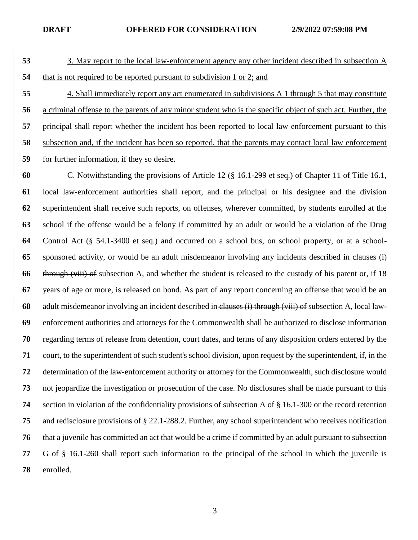- 3. May report to the local law-enforcement agency any other incident described in subsection A that is not required to be reported pursuant to subdivision 1 or 2; and
- 4. Shall immediately report any act enumerated in subdivisions A 1 through 5 that may constitute a criminal offense to the parents of any minor student who is the specific object of such act. Further, the principal shall report whether the incident has been reported to local law enforcement pursuant to this subsection and, if the incident has been so reported, that the parents may contact local law enforcement for further information, if they so desire.

 C. Notwithstanding the provisions of Article 12 (§ 16.1-299 et seq.) of Chapter 11 of Title 16.1, local law-enforcement authorities shall report, and the principal or his designee and the division superintendent shall receive such reports, on offenses, wherever committed, by students enrolled at the school if the offense would be a felony if committed by an adult or would be a violation of the Drug Control Act (§ 54.1-3400 et seq.) and occurred on a school bus, on school property, or at a school- sponsored activity, or would be an adult misdemeanor involving any incidents described in clauses (i) through (viii) of subsection A, and whether the student is released to the custody of his parent or, if 18 years of age or more, is released on bond. As part of any report concerning an offense that would be an adult misdemeanor involving an incident described in clauses (i) through (viii) of subsection A, local law- enforcement authorities and attorneys for the Commonwealth shall be authorized to disclose information regarding terms of release from detention, court dates, and terms of any disposition orders entered by the court, to the superintendent of such student's school division, upon request by the superintendent, if, in the determination of the law-enforcement authority or attorney for the Commonwealth, such disclosure would not jeopardize the investigation or prosecution of the case. No disclosures shall be made pursuant to this section in violation of the confidentiality provisions of subsection A of § 16.1-300 or the record retention and redisclosure provisions of § 22.1-288.2. Further, any school superintendent who receives notification that a juvenile has committed an act that would be a crime if committed by an adult pursuant to subsection G of § 16.1-260 shall report such information to the principal of the school in which the juvenile is enrolled.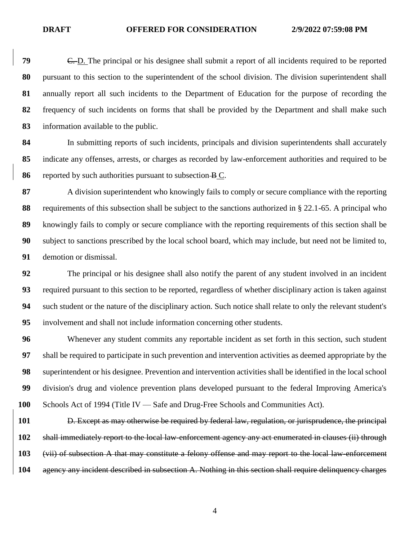C. D. The principal or his designee shall submit a report of all incidents required to be reported pursuant to this section to the superintendent of the school division. The division superintendent shall annually report all such incidents to the Department of Education for the purpose of recording the frequency of such incidents on forms that shall be provided by the Department and shall make such information available to the public.

 In submitting reports of such incidents, principals and division superintendents shall accurately indicate any offenses, arrests, or charges as recorded by law-enforcement authorities and required to be reported by such authorities pursuant to subsection B C.

 A division superintendent who knowingly fails to comply or secure compliance with the reporting requirements of this subsection shall be subject to the sanctions authorized in § 22.1-65. A principal who knowingly fails to comply or secure compliance with the reporting requirements of this section shall be subject to sanctions prescribed by the local school board, which may include, but need not be limited to, demotion or dismissal.

 The principal or his designee shall also notify the parent of any student involved in an incident required pursuant to this section to be reported, regardless of whether disciplinary action is taken against such student or the nature of the disciplinary action. Such notice shall relate to only the relevant student's involvement and shall not include information concerning other students.

 Whenever any student commits any reportable incident as set forth in this section, such student shall be required to participate in such prevention and intervention activities as deemed appropriate by the superintendent or his designee. Prevention and intervention activities shall be identified in the local school division's drug and violence prevention plans developed pursuant to the federal Improving America's Schools Act of 1994 (Title IV — Safe and Drug-Free Schools and Communities Act).

 D. Except as may otherwise be required by federal law, regulation, or jurisprudence, the principal shall immediately report to the local law-enforcement agency any act enumerated in clauses (ii) through (vii) of subsection A that may constitute a felony offense and may report to the local law-enforcement agency any incident described in subsection A. Nothing in this section shall require delinquency charges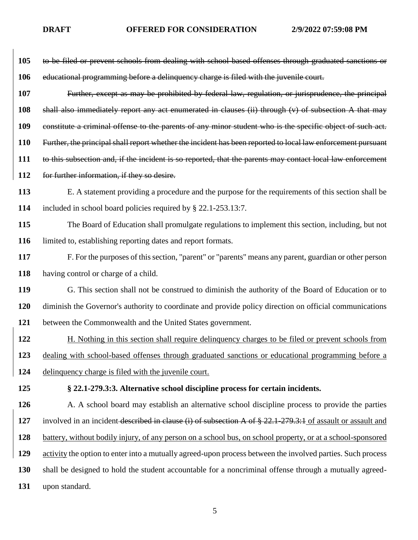| 105 | to be filed or prevent schools from dealing with school based offenses through graduated sanctions or          |
|-----|----------------------------------------------------------------------------------------------------------------|
| 106 | educational programming before a delinquency charge is filed with the juvenile court.                          |
| 107 | Further, except as may be prohibited by federal law, regulation, or jurisprudence, the principal               |
| 108 | shall also immediately report any act enumerated in clauses (ii) through $(v)$ of subsection A that may        |
| 109 | constitute a criminal offense to the parents of any minor student who is the specific object of such act.      |
| 110 | Further, the principal shall report whether the incident has been reported to local law enforcement pursuant   |
| 111 | to this subsection and, if the incident is so reported, that the parents may contact local law enforcement     |
| 112 | for further information, if they so desire.                                                                    |
| 113 | E. A statement providing a procedure and the purpose for the requirements of this section shall be             |
| 114 | included in school board policies required by $\S$ 22.1-253.13:7.                                              |
| 115 | The Board of Education shall promulgate regulations to implement this section, including, but not              |
| 116 | limited to, establishing reporting dates and report formats.                                                   |
| 117 | F. For the purposes of this section, "parent" or "parents" means any parent, guardian or other person          |
| 118 | having control or charge of a child.                                                                           |
| 119 | G. This section shall not be construed to diminish the authority of the Board of Education or to               |
| 120 | diminish the Governor's authority to coordinate and provide policy direction on official communications        |
| 121 | between the Commonwealth and the United States government.                                                     |
| 122 | H. Nothing in this section shall require delinquency charges to be filed or prevent schools from               |
| 123 | dealing with school-based offenses through graduated sanctions or educational programming before a             |
| 124 | delinquency charge is filed with the juvenile court.                                                           |
| 125 | § 22.1-279.3:3. Alternative school discipline process for certain incidents.                                   |
| 126 | A. A school board may establish an alternative school discipline process to provide the parties                |
| 127 | involved in an incident described in clause (i) of subsection A of $\S 22.1-279.3:1$ of assault or assault and |
| 128 | battery, without bodily injury, of any person on a school bus, on school property, or at a school-sponsored    |
| 129 | activity the option to enter into a mutually agreed-upon process between the involved parties. Such process    |
| 130 | shall be designed to hold the student accountable for a noncriminal offense through a mutually agreed-         |
| 131 | upon standard.                                                                                                 |
|     |                                                                                                                |